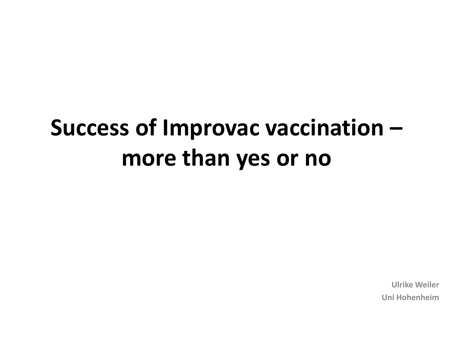## **Success of Improvac vaccination – more than yes or no**

**Ulrike Weiler Uni Hohenheim**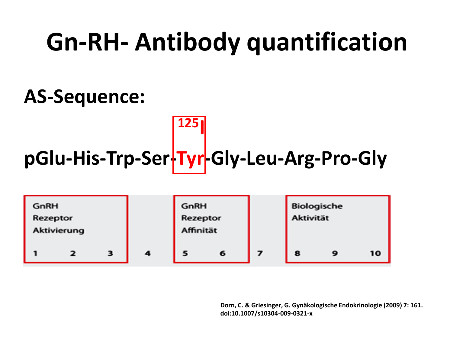## **Gn-RH- Antibody quantification**

### **AS-Sequence:**

# **pGlu-His-Trp-Ser-Tyr-Gly-Leu-Arg-Pro-Gly**

**<sup>125</sup>I**

| GnRH<br>Rezeptor<br>Aktivierung |  |   |   | GnRH<br>Rezeptor<br>Affinität |   |   | Biologische<br><b>Aktivität</b> |    |  |
|---------------------------------|--|---|---|-------------------------------|---|---|---------------------------------|----|--|
|                                 |  | 3 | 4 | 5                             | 6 | 8 | o                               | 10 |  |

**Dorn, C. & Griesinger, G. Gynäkologische Endokrinologie (2009) 7: 161. doi:10.1007/s10304-009-0321-x**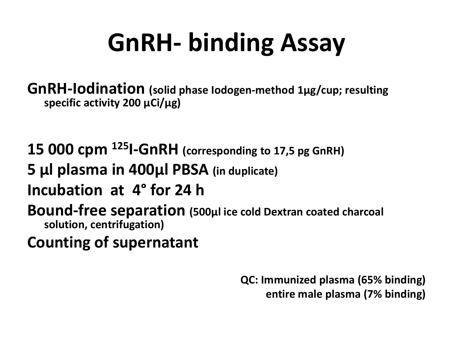# **GnRH- binding Assay**

**GnRH-Iodination (solid phase Iodogen-method 1µg/cup; resulting specific activity 200 µCi/µg)**

**15 000 cpm <sup>125</sup>I-GnRH (corresponding to 17,5 pg GnRH) 5 µl plasma in 400µl PBSA (in duplicate) Incubation at 4° for 24 h Bound-free separation (500µl ice cold Dextran coated charcoal solution, centrifugation) Counting of supernatant**

> **QC: Immunized plasma (65% binding) entire male plasma (7% binding)**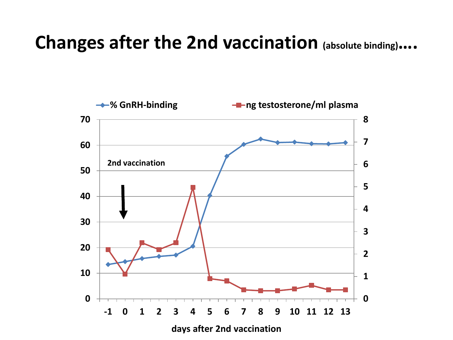### **Changes after the 2nd vaccination (absolute binding)….**

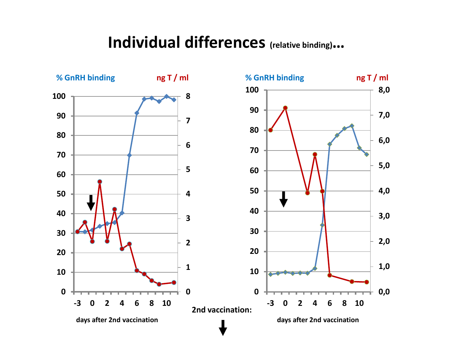#### **Individual differences (relative binding)…**

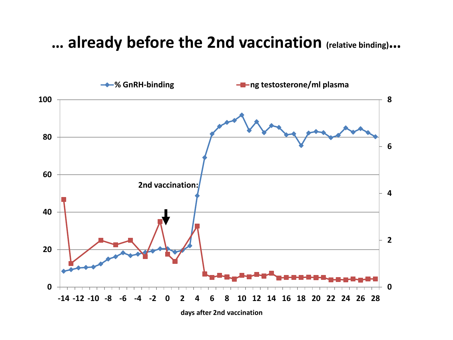#### **… already before the 2nd vaccination (relative binding)…**

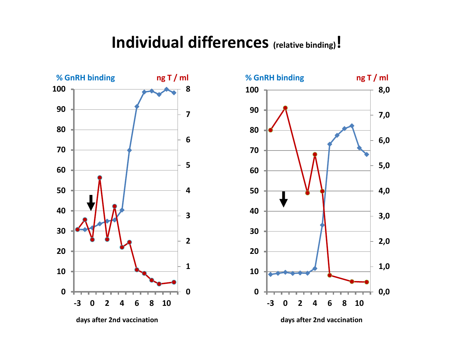#### **Individual differences (relative binding)!**





**days after 2nd vaccination days after 2nd vaccination**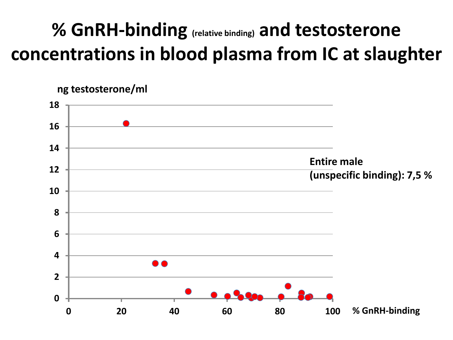### **% GnRH-binding (relative binding) and testosterone concentrations in blood plasma from IC at slaughter**